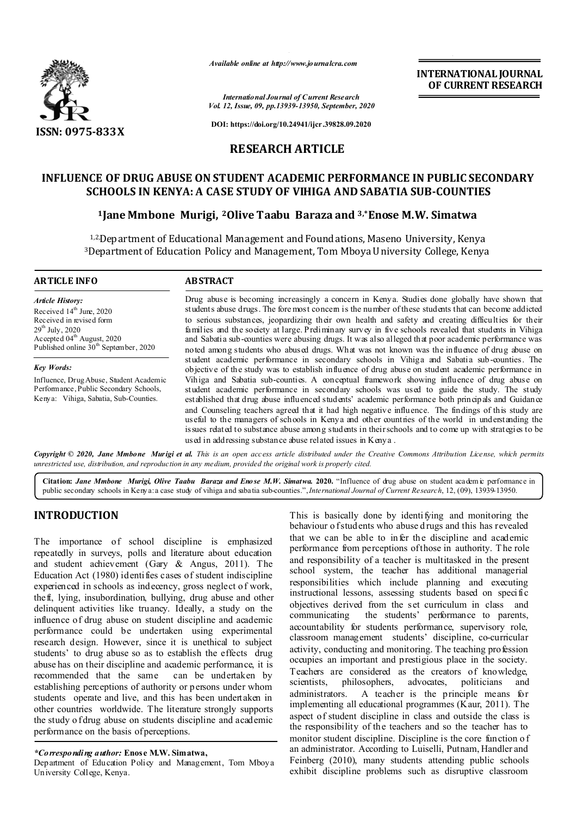

*Available online at http://www.journalcra.com*

**INTERNATIONAL JOURNAL OF CURRENT RESEARCH**

*International Journal of Current Research Vol. 12, Issue, 09, pp.13939-13950, September, 2020*

**DOI: https://doi.org/10.24941/ijcr.39828.09.2020**

# **RESEARCH ARTICLE**

# **INFLUENCE OF DRUG ABUSE ON STUDENT ACADEMIC PERFORMANCE IN PUBLIC SECONDARY SCHOOLS IN KENYA: A CASE STUDY OF VIHIGA AND SABATIA SUB-COUNTIES**

## **1Jane Mmbone Murigi, 2Olive Taabu Baraza and 3,\*Enose M.W. Simatwa**

1,2,Department of Educational Management and Foundations, Maseno University, Kenya 3Department of Education Policy and Management, Tom Mboya University College, Kenya

#### **ARTICLE INFO ABSTRACT**

*Article History:* Received 14<sup>th</sup> June, 2020 Received in revised form 29 th July, 2020 Accepted 04<sup>th</sup> August, 2020 Published online  $30<sup>th</sup>$  September, 2020

*Key Words:*

Influence, Drug Abuse, Student Academic Performance, Public Secondary Schools, Kenya: Vihiga, Sabatia, Sub-Counties.

Drug abuse is becoming increasingly a concern in Kenya. Studies done globally have shown that students abuse drugs. The fore most concern is the number of these students that can become addicted to serious substances, jeopardizing their own health and safety and creating difficulties for their families and the society at large. Preliminary survey in five schools revealed that students in Vihiga and Sabatia sub-counties were abusing drugs. It was also alleged that poor academic performance was noted among students who abused drugs. What was not known was the influence of drug abuse on student academic performance in secondary schools in Vihiga and Sabatia sub-counties. The objective of the study was to establish influence of drug abuse on student academic performance in Vihiga and Sabatia sub-counties. A conceptual framework showing influence of drug abuse on student academic performance in secondary schools was used to guide the study. The study established that drug abuse influenced students' academic performance both principals and Guidance and Counseling teachers agreed that it had high negative influence. The findings of this study are useful to the managers of schools in Kenya and other countries of the world in understanding the issues related to substance abuse among students in their schools and to come up with strategies to be used in addressing substance abuse related issues in Kenya .

Copyright © 2020, Jane Mmbone Murigi et al. This is an open access article distributed under the Creative Commons Attribution License, which permits *unrestricted use, distribution, and reproduction in any medium, provided the original work is properly cited.*

**Citation:** *Jane Mmbone Murigi, Olive Taabu Baraza and Enose M.W. Simatwa.* **2020.** "Influence of drug abuse on student academ ic performance in public secondary schools in Kenya: a case study of vihiga and sabatia sub-counties.",*International Journal of Current Research*, 12, (09), 13939-13950.

# **INTRODUCTION**

The importance of school discipline is emphasized repeatedly in surveys, polls and literature about education and student achievement (Gary & Angus, 2011). The Education Act (1980) identifies cases of student indiscipline experienced in schools as indecency, gross neglect o f work, theft, lying, insubordination, bullying, drug abuse and other delinquent activities like truancy. Ideally, a study on the influence of drug abuse on student discipline and academic performance could be undertaken using experimental research design. However, since it is unethical to subject students' to drug abuse so as to establish the effects drug abuse has on their discipline and academic performance, it is recommended that the same establishing perceptions of authority or persons under whom students operate and live, and this has been undertaken in other countries worldwide. The literature strongly supports the study o fdrug abuse on students discipline and academic performance on the basis of perceptions.

*\*Corresponding author:* **Enose M.W. Simatwa,**

Department of Education Policy and Management, Tom Mboya University College, Kenya.

This is basically done by identifying and monitoring the behaviour o f students who abuse d rugs and this has revealed that we can be able to infer the discipline and academic performance from perceptions of those in authority. T he role and responsibility of a teacher is multitasked in the present school system, the teacher has additional managerial responsibilities which include planning and executing instructional lessons, assessing students based on specific objectives derived from the set curriculum in class and communicating the students' performance to parents, accountability for students performance, supervisory role, classroom management students' discipline, co-curricular activity, conducting and monitoring. The teaching profession occupies an important and prestigious place in the society. Teachers are considered as the creators of knowledge, scientists, philosophers, advocates, politicians and administrators. A teacher is the principle means for implementing all educational programmes (Kaur, 2011). The aspect of student discipline in class and outside the class is the responsibility of the teachers and so the teacher has to monitor student discipline. Discipline is the core function of an administrator. According to Luiselli, Putnam, Handler and Feinberg (2010), many students attending public schools exhibit discipline problems such as disruptive classroom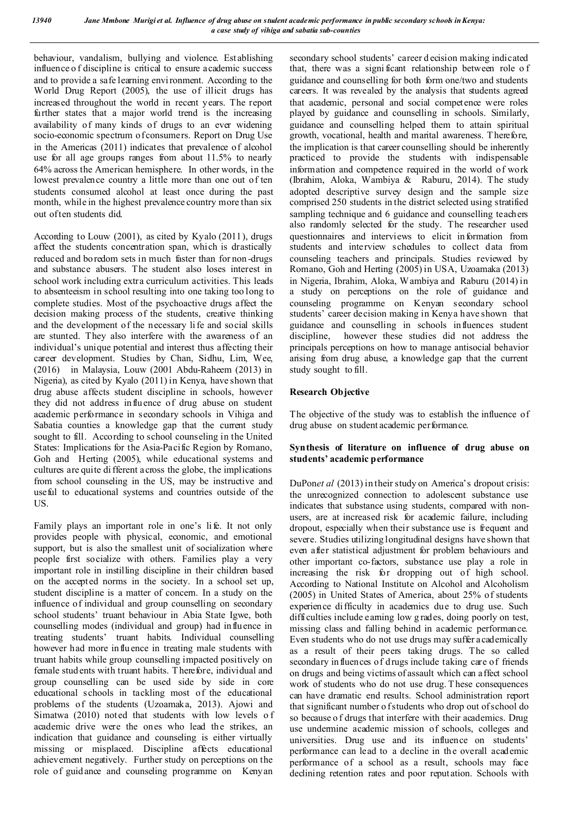behaviour, vandalism, bullying and violence. Establishing influence o f discipline is critical to ensure academic success and to provide a safe learning envi ronment. According to the World Drug Report (2005), the use of illicit drugs has increased throughout the world in recent years. The report further states that a major world trend is the increasing availability of many kinds of drugs to an ever widening socio-economic spectrum of consumers. Report on Drug Use in the Americas (2011) indicates that prevalence of alcohol use for all age groups ranges from about 11.5% to nearly 64% across the American hemisphere. In other words, in the lowest prevalence country a little more than one out of ten students consumed alcohol at least once during the past month, while in the highest prevalence country more than six out of ten students did.

According to Louw (2001), as cited by Kyalo (2011), drugs affect the students concentration span, which is drastically reduced and boredom sets in much faster than for non -drugs and substance abusers. The student also loses interest in school work including extra curriculum activities. This leads to absenteeism in school resulting into one taking too long to complete studies. Most of the psychoactive drugs affect the decision making process of the students, creative thinking and the development of the necessary li fe and social skills are stunted. They also interfere with the awareness of an individual's unique potential and interest thus affecting their career development. Studies by Chan, Sidhu, Lim, Wee, (2016) in Malaysia, Louw (2001 Abdu-Raheem (2013) in Nigeria), as cited by Kyalo (2011) in Kenya, have shown that drug abuse affects student discipline in schools, however they did not address influence of drug abuse on student academic performance in secondary schools in Vihiga and Sabatia counties a knowledge gap that the current study sought to fill. According to school counseling in the United States: Implications for the Asia-Pacific Region by Romano, Goh and Herting (2005), while educational systems and cultures are quite di fferent across the globe, the implications from school counseling in the US, may be instructive and useful to educational systems and countries outside of the US.

Family plays an important role in one's life. It not only provides people with physical, economic, and emotional support, but is also the smallest unit of socialization where people first socialize with others. Families play a very important role in instilling discipline in their children based on the accepted norms in the society. In a school set up, student discipline is a matter of concern. In a study on the influence of individual and group counselling on secondary school students' truant behaviour in Abia State Igwe, both counselling modes (individual and group) had influence in treating students' truant habits. Individual counselling however had more influence in treating male students with truant habits while group counselling impacted positively on female stud ents with truant habits. T herefore, individual and group counselling can be used side by side in core educational schools in tackling most of the educational problems of the students (Uzoamaka, 2013). Ajowi and Simatwa (2010) noted that students with low levels o f academic drive were the ones who lead the strikes, an indication that guidance and counseling is either virtually missing or misplaced. Discipline affects educational achievement negatively. Further study on perceptions on the role of guidance and counseling programme on Kenyan

secondary school students' career d ecision making indicated that, there was a signi ficant relationship between role o f guidance and counselling for both form one/two and students careers. It was revealed by the analysis that students agreed that academic, personal and social competence were roles played by guidance and counselling in schools. Similarly, guidance and counselling helped them to attain spiritual growth, vocational, health and marital awareness. T herefore, the implication is that career counselling should be inherently practiced to provide the students with indispensable information and competence required in the world of work (Ibrahim, Aloka, Wambiya & Raburu, 2014). The study adopted descriptive survey design and the sample size comprised 250 students in the district selected using stratified sampling technique and 6 guidance and counselling teachers also randomly selected for the study. The researcher used questionnaires and interviews to elicit information from students and interview schedules to collect data from counseling teachers and principals. Studies reviewed by Romano, Goh and Herting (2005) in USA, Uzoamaka (2013) in Nigeria, Ibrahim, Aloka, Wambiya and Raburu (2014) in a study on perceptions on the role of guidance and counseling programme on Kenyan secondary school students' career decision making in Kenya have shown that guidance and counselling in schools influences student discipline, however these studies did not address the principals perceptions on how to manage antisocial behavior arising from drug abuse, a knowledge gap that the current study sought to fill.

## **Research Objective**

The objective of the study was to establish the influence of drug abuse on student academic performance.

## **Synthesis of literature on influence of drug abuse on students' academic performance**

DuPon*et al* (2013) in their study on America's dropout crisis: the unrecognized connection to adolescent substance use indicates that substance using students, compared with nonusers, are at increased risk for academic failure, including dropout, especially when their substance use is frequent and severe. Studies utilizing longitudinal designs have shown that even after statistical adjustment for problem behaviours and other important co-factors, substance use play a role in increasing the risk for dropping out of high school. According to National Institute on Alcohol and Alcoholism (2005) in United States of America, about 25% of students experience difficulty in academics due to drug use. Such difficulties include earning low g rades, doing poorly on test, missing class and falling behind in academic performance. Even students who do not use drugs may suffer academically as a result of their peers taking drugs. The so called secondary in fluences of drugs include taking care of friends on drugs and being victims of assault which can affect school work of students who do not use drug. T hese consequences can have dramatic end results. School administration report that significant number o f students who drop out of school do so because of drugs that interfere with their academics. Drug use undermine academic mission of schools, colleges and universities. Drug use and its influence on students' performance can lead to a decline in the overall academic performance of a school as a result, schools may face declining retention rates and poor reputation. Schools with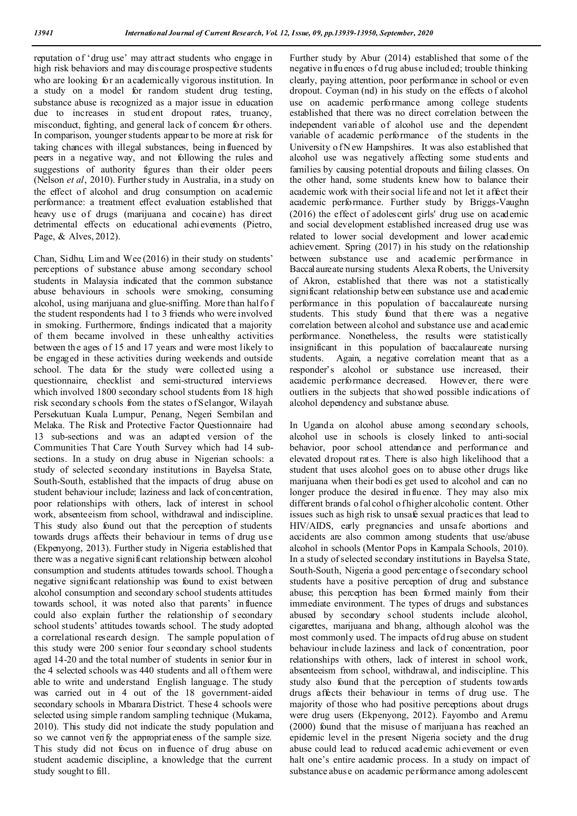reputation of 'drug use' may attract students who engage in high risk behaviors and may discourage prospective students who are looking for an academically vigorous institution. In a study on a model for random student drug testing, substance abuse is recognized as a major issue in education due to increases in stud ent dropout rates, truancy, misconduct, fighting, and general lack of concern for others. In comparison, younger students appear to be more at risk for taking chances with illegal substances, being influenced by peers in a negative way, and not following the rules and suggestions of authority figures than their older peers (Nelson *et al*, 2010). Further study in Australia, in a study on the effect of alcohol and drug consumption on academic performance: a treatment effect evaluation established that heavy use of drugs (marijuana and cocaine) has direct detrimental effects on educational achievements (Pietro, Page, & Alves, 2012).

Chan, Sidhu, Lim and Wee (2016) in their study on students' perceptions of substance abuse among secondary school students in Malaysia indicated that the common substance abuse behaviours in schools were smoking, consuming alcohol, using marijuana and glue-sniffing. More than half of the student respondents had 1 to 3 friends who were involved in smoking. Furthermore, findings indicated that a majority of them became involved in these unhealthy activities between the ages of 15 and 17 years and were most likely to be engaged in these activities during weekends and outside school. The data for the study were collected using a questionnaire, checklist and semi-structured interviews which involved 1800 secondary school students from 18 high risk secondary s chools from the states o f Selangor, Wilayah Persekutuan Kuala Lumpur, Penang, Negeri Sembilan and Melaka. The Risk and Protective Factor Questionnaire had 13 sub-sections and was an adapted version of the Communities That Care Youth Survey which had 14 subsections. In a study on drug abuse in Nigerian schools: a study of selected secondary institutions in Bayelsa State, South-South, established that the impacts of drug abuse on student behaviour include; laziness and lack of concentration, poor relationships with others, lack of interest in school work, absenteeism from school, withdrawal and indiscipline. This study also found out that the perception of students towards drugs affects their behaviour in terms of drug use (Ekpenyong, 2013). Further study in Nigeria established that there was a negative significant relationship between alcohol consumption and students attitudes towards school. Though a negative significant relationship was found to exist between alcohol consumption and secondary school students attitudes towards school, it was noted also that parents' influence could also explain further the relationship of secondary school students' attitudes towards school. The study adopted a correlational research design. The sample population of this study were 200 senior four secondary school students aged 14-20 and the total number of students in senior four in the 4 selected schools was 440 students and all of them were able to write and understand English language. The study was carried out in 4 out of the 18 government-aided secondary schools in Mbarara District. These 4 schools were selected using simple random sampling technique (Mukama, 2010). This study did not indicate the study population and so we cannot verify the appropriateness of the sample size. This study did not focus on influence of drug abuse on student academic discipline, a knowledge that the current study sought to fill.

Further study by Abur (2014) established that some of the negative influences of drug abuse included; trouble thinking clearly, paying attention, poor performance in school or even dropout. Coyman (nd) in his study on the effects o f alcohol use on academic performance among college students established that there was no direct correlation between the independent variable of alcohol use and the dependent variable of academic performance of the students in the University of N ew Hampshires. It was also established that alcohol use was negatively affecting some stud ents and families by causing potential dropouts and failing classes. On the other hand, some students knew how to balance their academic work with their social life and not let it affect their academic performance. Further study by Briggs-Vaughn (2016) the effect of adolescent girls' drug use on academic and social development established increased drug use was related to lower social development and lower academic achievement. Spring (2017) in his study on the relationship between substance use and academic performance in Baccalaureate nursing students Alexa Roberts, the University of Akron, established that there was not a statistically significant relationship between substance use and academic performance in this population of baccalaureate nursing students. This study found that there was a negative correlation between alcohol and substance use and academic performance. Nonetheless, the results were statistically insignificant in this population of baccalaureate nursing students. Again, a negative correlation meant that as a responder's alcohol or substance use increased, their academic performance decreased. However, there were outliers in the subjects that showed possible indications of alcohol dependency and substance abuse.

In Uganda on alcohol abuse among secondary schools, alcohol use in schools is closely linked to anti-social behavior, poor school attendance and performance and elevated dropout rates. There is also high likelihood that a student that uses alcohol goes on to abuse other drugs like marijuana when their bodi es get used to alcohol and can no longer produce the desired influence. They may also mix different brands of al cohol o f higher alcoholic content. Other issues such as high risk to unsafe sexual practices that lead to HIV/AIDS, early pregnancies and unsafe abortions and accidents are also common among students that use/abuse alcohol in schools (Mentor Pops in Kampala Schools, 2010). In a study of selected secondary institutions in Bayelsa State, South-South, Nigeria a good percentage of secondary school students have a positive perception of drug and substance abuse; this perception has been formed mainly from their immediate environment. The types of drugs and substances abused by secondary school students include alcohol, cigarettes, marijuana and bhang, although alcohol was the most commonly used. The impacts of d rug abuse on student behaviour include laziness and lack of concentration, poor relationships with others, lack of interest in school work, absenteeism from school, withdrawal, and indiscipline. This study also found that the perception of students towards drugs affects their behaviour in terms of drug use. The majority of those who had positive perceptions about drugs were drug users (Ekpenyong, 2012). Fayombo and Aremu (2000) found that the misuse of marijuana has reached an epidemic level in the present Nigeria society and the drug abuse could lead to reduced academic achievement or even halt one's entire academic process. In a study on impact of substance abuse on academic performance among adolescent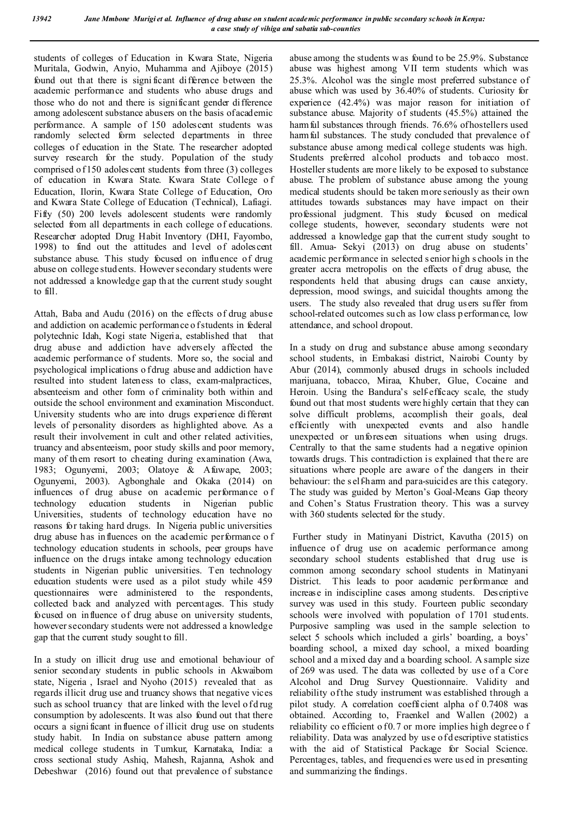students of colleges of Education in Kwara State, Nigeria Muritala, Godwin, Anyio, Muhamma and Ajiboye (2015) found out that there is signi ficant difference between the academic performance and students who abuse drugs and those who do not and there is significant gender difference among adolescent substance abusers on the basis of academic performance. A sample of 150 adolescent students was randomly selected form selected departments in three colleges of education in the State. The researcher adopted survey research for the study. Population of the study comprised o f 150 adolescent students from three (3) colleges of education in Kwara State. Kwara State College o f Education, Ilorin, Kwara State College of Education, Oro and Kwara State College of Education (Technical), Lafiagi. Fifty (50) 200 levels adolescent students were randomly selected from all departments in each college of educations. Researcher adopted Drug Habit Inventory (DHI, Fayombo, 1998) to find out the attitudes and level of adolescent substance abuse. This study focused on influence of drug abuse on college students. However secondary students were not addressed a knowledge gap th at the current study sought to fill.

Attah, Baba and Audu (2016) on the effects of drug abuse and addiction on academic performance o f students in federal polytechnic Idah, Kogi state Nigeria, established that that drug abuse and addiction have adversely affected the academic performance of students. More so, the social and psychological implications o f drug abuse and addiction have resulted into student lateness to class, exam-malpractices, absenteeism and other form of criminality both within and outside the school environment and examination Misconduct. University students who are into drugs experience different levels of personality disorders as highlighted above. As a result their involvement in cult and other related activities, truancy and absenteeism, poor study skills and poor memory, many of them resort to cheating during examination (Awa, 1983; Ogunyemi, 2003; Olatoye & Afuwape, 2003; Ogunyemi, 2003). Agbonghale and Okaka (2014) on influences of drug abuse on academic performance o f technology education students in Nigerian public Universities, students of technology education have no reasons for taking hard drugs. In Nigeria public universities drug abuse has influences on the academic performance o f technology education students in schools, peer groups have influence on the drugs intake among technology education students in Nigerian public universities. Ten technology education students were used as a pilot study while 459 questionnaires were administered to the respondents, collected back and analyzed with percentages. This study focused on influence of drug abuse on university students, however secondary students were not addressed a knowledge gap that the current study sought to fill.

In a study on illicit drug use and emotional behaviour of senior secondary students in public schools in Akwaibom state, Nigeria , Israel and Nyoho (2015) revealed that as regards illicit drug use and truancy shows that negative vices such as school truancy that are linked with the level of drug consumption by adolescents. It was also found out that there occurs a signi ficant influence of illicit drug use on students study habit. In India on substance abuse pattern among medical college students in Tumkur, Karnataka, India: a cross sectional study Ashiq, Mahesh, Rajanna, Ashok and Debeshwar (2016) found out that prevalence of substance

abuse among the students was found to be 25.9%. Substance abuse was highest among VII term students which was 25.3%. Alcohol was the single most preferred substance of abuse which was used by 36.40% of students. Curiosity for experience (42.4%) was major reason for initiation of substance abuse. Majority of students (45.5%) attained the harm ful substances through friends. 76.6% of hostellers used harm ful substances. The study concluded that prevalence of substance abuse among medical college students was high. Students preferred alcohol products and tobacco most. Hosteller students are more likely to be exposed to substance abuse. The problem of substance abuse among the young medical students should be taken more seriously as their own attitudes towards substances may have impact on their professional judgment. This study focused on medical college students, however, secondary students were not addressed a knowledge gap that the current study sought to fill. Amua- Sekyi (2013) on drug abuse on students' academic performance in selected s enior high s chools in the greater accra metropolis on the effects of drug abuse, the respondents held that abusing drugs can cause anxiety, depression, mood swings, and suicidal thoughts among the users. The study also revealed that drug users suffer from school-related outcomes su ch as low class p erformance, low attendance, and school dropout.

In a study on drug and substance abuse among secondary school students, in Embakasi district, Nairobi County by Abur (2014), commonly abused drugs in schools included marijuana, tobacco, Miraa, Khuber, Glue, Cocaine and Heroin. Using the Bandura's self-efficacy scale, the study found out that most students were highly certain that they can solve difficult problems, accomplish their goals, deal efficiently with unexpected events and also handle unexpected or unforeseen situations when using drugs. Centrally to that the same students had a negative opinion towards drugs. This contradiction is explained that there are situations where people are aware of the dangers in their behaviour: the s elf-harm and para-suicides are this category. The study was guided by Merton's Goal-Means Gap theory and Cohen's Status Frustration theory. This was a survey with 360 students selected for the study.

Further study in Matinyani District, Kavutha (2015) on influence of drug use on academic performance among secondary school students established that drug use is common among secondary school students in Matinyani District. This leads to poor academic performance and increase in indiscipline cases among students. Descriptive survey was used in this study. Fourteen public secondary schools were involved with population of 1701 stud ents. Purposive sampling was used in the sample selection to select 5 schools which included a girls' boarding, a boys' boarding school, a mixed day school, a mixed boarding school and a mixed day and a boarding school. A sample size of 269 was used. The data was collected by use of a Core Alcohol and Drug Survey Questionnaire. Validity and reliability of the study instrument was established through a pilot study. A correlation coefficient alpha of 0.7408 was obtained. According to, Fraenkel and Wallen (2002) a reliability co efficient of 0.7 or more implies high degree of reliability. Data was analyzed by use of d escriptive statistics with the aid of Statistical Package for Social Science. Percentages, tables, and frequencies were us ed in presenting and summarizing the findings.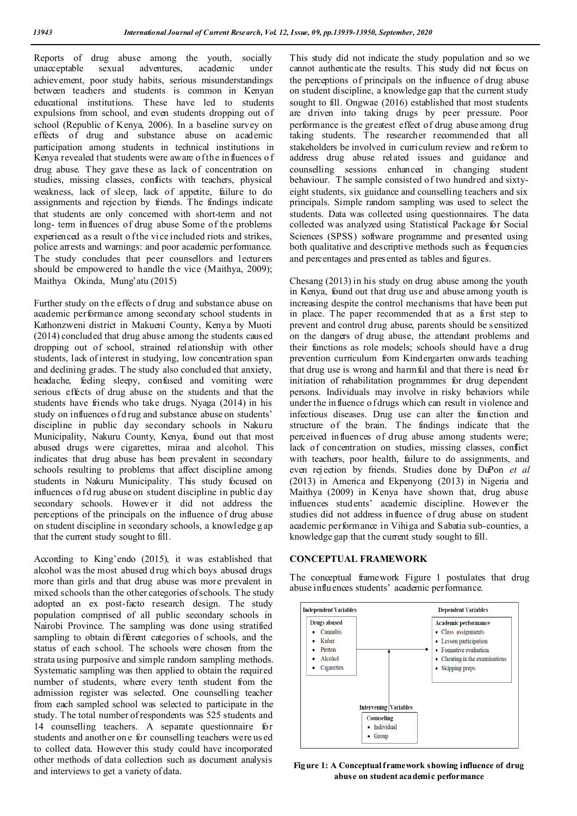Reports of drug abuse among the youth, socially unacceptable sexual adventures, academic under unacceptable sexual adventures, academic achievement, poor study habits, serious misunderstandings between teachers and students is common in Kenyan educational institutions. These have led to students expulsions from school, and even students dropping out of school (Republic of Kenya, 2006). In a baseline survey on effects of drug and substance abuse on academic participation among students in technical institutions in Kenya revealed that students were aware of the in fluences o f drug abuse. They gave these as lack of concentration on studies, missing classes, conflicts with teachers, physical weakness, lack of sleep, lack of appetite, failure to do assignments and rejection by friends. The findings indicate that students are only concerned with short-term and not long- term influences of drug abuse Some of the problems experienced as a result of the vice included riots and strikes, police arrests and warnings: and poor academic performance. The study concludes that peer counsellors and lecturers should be empowered to handle the vice (Maithya, 2009); Maithya Okinda, Mung'atu (2015)

Further study on the effects o f drug and substance abuse on academic performance among secondary school students in Kathonzweni district in Makueni County, Kenya by Muoti (2014) concluded that drug abuse among the students caused dropping out of school, strained relationship with other students, lack of interest in studying, low concentration span and declining grades. T he study also concluded that anxiety, headache, feeling sleepy, confused and vomiting were serious effects of drug abuse on the students and that the students have friends who take drugs. Nyaga (2014) in his study on influences of drug and substance abuse on students' discipline in public day secondary schools in Nakuru Municipality, Nakuru County, Kenya, found out that most abused drugs were cigarettes, miraa and alcohol. This indicates that drug abuse has been prevalent in secondary schools resulting to problems that affect discipline among students in Nakuru Municipality. This study focused on influences of drug abuse on student discipline in public day secondary schools. However it did not address the perceptions of the principals on the influence of drug abuse on student discipline in secondary schools, a knowledge g ap that the current study sought to fill.

According to King'endo (2015), it was established that alcohol was the most abused drug which boys abused drugs more than girls and that drug abuse was more prevalent in mixed schools than the other categories of schools. The study adopted an ex post-facto research design. The study population comprised of all public secondary schools in Nairobi Province. The sampling was done using stratified sampling to obtain different categories of schools, and the status of each school. The schools were chosen from the strata using purposive and simple random sampling methods. Systematic sampling was then applied to obtain the required number of students, where every tenth student from the admission register was selected. One counselling teacher from each sampled school was selected to participate in the study. The total number of respondents was 525 students and 14 counselling teachers. A separate questionnaire for students and another on e for counselling teachers were us ed to collect data. However this study could have incorporated other methods of data collection such as document analysis and interviews to get a variety of data.

This study did not indicate the study population and so we cannot authenticate the results. This study did not focus on the perceptions of principals on the influence of drug abuse on student discipline, a knowledge gap that the current study sought to fill. Ongwae (2016) established that most students are driven into taking drugs by peer pressure. Poor performance is the greatest effect of drug abuse among drug taking students. The researcher recommended that all stakeholders be involved in curriculum review and reform to address drug abuse related issues and guidance and counselling sessions enhanced in changing student behaviour. T he sample consisted of two hundred and sixtyeight students, six guidance and counselling teachers and six principals. Simple random sampling was used to select the students. Data was collected using questionnaires. The data collected was analyzed using Statistical Package for Social Sciences (SPSS) software programme and presented using both qualitative and descriptive methods such as frequencies and percentages and presented as tables and figures.

Chesang (2013) in his study on drug abuse among the youth in Kenya, found out that drug use and abuse among youth is increasing despite the control mechanisms that have been put in place. The paper recommended that as a first step to prevent and control drug abuse, parents should be sensitized on the dangers of drug abuse, the attendant problems and their functions as role models; schools should have a drug prevention curriculum from Kindergarten onwards teaching that drug use is wrong and harmful and that there is need for initiation of rehabilitation programmes for drug dependent persons. Individuals may involve in risky behaviors while under the in fluence o f drugs which can result in violence and infectious diseases. Drug use can alter the function and structure of the brain. The findings indicate that the perceived influences of drug abuse among students were; lack of concentration on studies, missing classes, conflict with teachers, poor health, failure to do assignments, and even rejection by friends. Studies done by DuPon *et al* (2013) in America and Ekpenyong (2013) in Nigeria and Maithya (2009) in Kenya have shown that, drug abuse influences stud ents' academic discipline. However the studies did not address influence of drug abuse on student academic performance in Vihiga and Sabatia sub-counties, a knowledge gap that the current study sought to fill.

### **CONCEPTUAL FRAMEWORK**

The conceptual framework Figure 1 postulates that drug abuse influences students' academic performance.



**Figure 1: A Conceptual framework showing influence of drug abuse on student academic performance**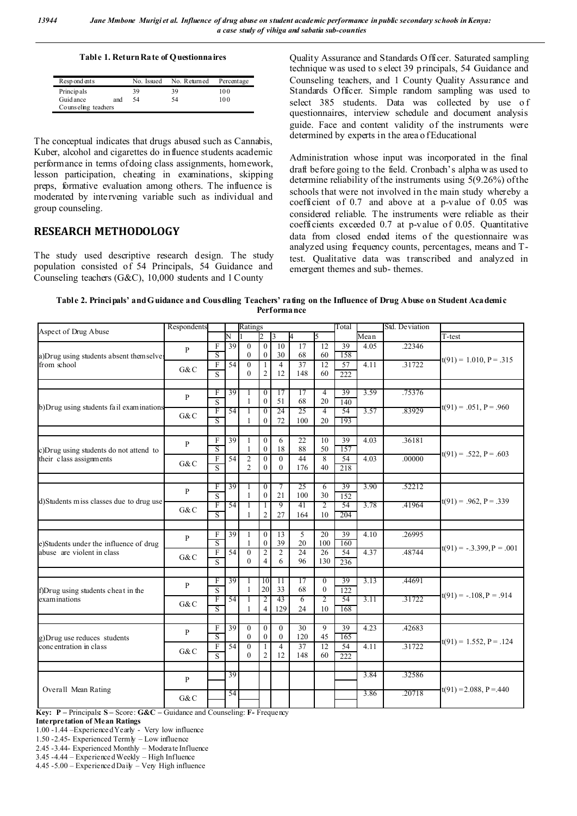#### **Table 1. Return Rate of Questionnaires**

| Resp ond ents       |     | No. Issued | No. Returned | Percentage |  |  |  |  |  |
|---------------------|-----|------------|--------------|------------|--|--|--|--|--|
| Principals          |     | 39         | 39           | 100        |  |  |  |  |  |
| Guid ance           | and | -54        | 54           | 100        |  |  |  |  |  |
| Counseling teachers |     |            |              |            |  |  |  |  |  |

The conceptual indicates that drugs abused such as Cannabis, Kuber, alcohol and cigarettes do influence students academic performance in terms of doing class assignments, homework, lesson participation, cheating in examinations, skipping preps, formative evaluation among others. The influence is moderated by intervening variable such as individual and group counseling.

# **RESEARCH METHODOLOGY**

The study used descriptive research design. The study population consisted of 54 Principals, 54 Guidance and Counseling teachers (G&C), 10,000 students and 1 County

Quality Assurance and Standards Officer. Saturated sampling technique was used to s elect 39 principals, 54 Guidance and Counseling teachers, and 1 County Quality Assurance and Standards Officer. Simple random sampling was used to select 385 students. Data was collected by use of questionnaires, interview schedule and document analysis guide. Face and content validity of the instruments were determined by experts in the area of Educational

Administration whose input was incorporated in the final draft before going to the field. Cronbach's alpha w as used to determine reliability of the instruments using 5(9.26%) of the schools that were not involved in the main study whereby a coefficient of 0.7 and above at a p-value of 0.05 was considered reliable. The instruments were reliable as their coefficients exceeded 0.7 at p-value of 0.05. Quantitative data from closed ended items of the questionnaire was analyzed using frequency counts, percentages, means and Ttest. Qualitative data was transcribed and analyzed in emergent themes and sub- themes.

**Table 2. Principals' and Guidance and Couselling Teachers' rating on the Influence of Drug Abuse on Student Academic Performance**

| Aspect of Drug Abuse                                                 | Respondents         |                           |                 | Ratings                      |                |                         |                 |                                | Total     |                   | Std. Deviation |                             |
|----------------------------------------------------------------------|---------------------|---------------------------|-----------------|------------------------------|----------------|-------------------------|-----------------|--------------------------------|-----------|-------------------|----------------|-----------------------------|
|                                                                      |                     |                           | N               |                              |                | $\overline{\mathbf{3}}$ |                 | 5                              |           | Mean              |                | T-test                      |
| a)Drug using students absent themselves<br>from school               | $\mathbf{P}$        | $\boldsymbol{\mathrm{F}}$ | 39              | $\mathbf{0}$                 | $\theta$       | $\overline{10}$         | 17              | 12                             | 39        | 4.05              | .22346         | $t(91) = 1.010, P = .315$   |
|                                                                      |                     | S                         |                 | $\theta$                     | $\mathbf{0}$   | 30                      | 68              | 60                             | 158       |                   |                |                             |
|                                                                      | G&C                 | F                         | $\overline{54}$ | $\mathbf{0}$                 |                | $\overline{4}$          | 37              | 12                             | 57        | 4.11              | .31722         |                             |
|                                                                      |                     | S                         |                 | $\Omega$                     | $\overline{2}$ | 12                      | 148             | 60                             | 222       |                   |                |                             |
|                                                                      |                     |                           |                 |                              |                |                         |                 |                                |           |                   |                |                             |
| b) Drug using students fail examinations                             | $\mathbf{P}$<br>G&C | F                         | 39              | 1                            | $\overline{0}$ | 17                      | 17              | 4                              | 39        | 3.59              | .75376         | $t(91) = .051$ , $P = .960$ |
|                                                                      |                     | $\overline{\mathbf{s}}$   |                 | $\mathbf{1}$                 | $\mathbf{0}$   | 51<br>24                | 68<br>25        | 20                             | 140       |                   |                |                             |
|                                                                      |                     | F                         | 54              | 1                            | $\overline{0}$ |                         |                 | 4                              | 54        | 3.57              | .83929         |                             |
|                                                                      |                     | $\overline{\mathbf{s}}$   |                 |                              | $\mathbf{0}$   | 72                      | 100             | 20                             | 193       |                   |                |                             |
|                                                                      |                     | F                         | 39              | 1                            | $\Omega$       | 6                       | 22              | 10                             | 39        | $\overline{4.03}$ | .36181         |                             |
| c) Drug using students do not attend to                              | $\mathbf{P}$        | $\overline{\mathbf{s}}$   |                 |                              | $\mathbf{0}$   | 18                      | 88              | 50                             | 157       |                   |                | $t(91) = .522$ , $P = .603$ |
| their class assignments                                              |                     | F                         | 54              | $\mathfrak{2}$               | $\Omega$       | $\theta$                | 44              | 8                              | 54        | 4.03              | .00000         |                             |
|                                                                      | G&C                 | $\overline{S}$            |                 | $\overline{2}$               | $\mathbf{0}$   | $\theta$                | 176             | 40                             | 218       |                   |                |                             |
|                                                                      |                     |                           |                 |                              |                |                         |                 |                                |           |                   |                |                             |
| d) Students miss classes due to drug use                             |                     | F                         | 39              | 1                            | $\overline{0}$ | 7                       | 25              | $\overline{6}$                 | 39        | 3.90              | .52212         |                             |
|                                                                      | $\mathbf{P}$        | S                         |                 | $\mathbf{1}$                 | $\mathbf{0}$   | 21                      | 100             | 30                             | 152       |                   |                |                             |
|                                                                      | G&C                 | F                         | 54              | 1                            |                | 9                       | 41              | $\overline{2}$                 | 54        | 3.78              | .41964         | $t(91) = .962$ , $P = .339$ |
|                                                                      |                     | $\overline{\mathbf{s}}$   |                 |                              | $\overline{2}$ | 27                      | 164             | 10                             | 204       |                   |                |                             |
|                                                                      |                     |                           |                 |                              |                |                         |                 |                                |           |                   |                |                             |
| e)Students under the influence of drug<br>abuse are violent in class | $\mathbf{P}$        | F                         | 39              | $\mathbf{1}$                 | $\Omega$       | 13                      | 5               | 20                             | 39        | 4.10              | .26995         | $t(91) = -.3.399, P = .001$ |
|                                                                      |                     | $\overline{\mathbf{s}}$   |                 |                              | $\mathbf{0}$   | 39                      | 20              | 100                            | 160       |                   |                |                             |
|                                                                      | G&C                 | F                         | 54              | $\mathbf{0}$                 | $\overline{2}$ | $\overline{c}$          | $\overline{24}$ | 26                             | 54        | 4.37              | .48744         |                             |
|                                                                      |                     | S                         |                 | $\theta$                     | $\overline{4}$ | 6                       | 96              | 130                            | 236       |                   |                |                             |
|                                                                      |                     |                           |                 |                              |                |                         |                 |                                |           |                   |                |                             |
| f)Drug using students cheat in the<br>examinations                   | $\mathbf{P}$        | F                         | 39              | 1<br>$\mathbf{1}$            | 10<br>20       | $\overline{11}$<br>33   | 17<br>68        | $\overline{0}$<br>$\mathbf{0}$ | 39        | 3.13              | .44691         | $t(91) = -.108, P = .914$   |
|                                                                      | G&C                 | S<br>F                    | 54              |                              |                | 43                      |                 | 2                              | 122<br>54 | 3.11              | .31722         |                             |
|                                                                      |                     | S                         |                 | 1<br>1                       | 2<br>4         | 129                     | 6<br>24         | 10                             | 168       |                   |                |                             |
|                                                                      |                     |                           |                 |                              |                |                         |                 |                                |           |                   |                |                             |
| g) Drug use reduces students<br>concentration in class               |                     | F                         | $\overline{39}$ | $\mathbf{0}$                 | $\Omega$       | $\theta$                | $\overline{30}$ | $\overline{9}$                 | 39        | 4.23              | .42683         |                             |
|                                                                      | P<br>G&C            | $\overline{\mathbf{s}}$   |                 | $\theta$                     | $\theta$       | $\overline{0}$          | 120             | 45                             | 165       |                   |                | $t(91) = 1.552, P = .124$   |
|                                                                      |                     | F                         | $\overline{54}$ | $\theta$                     | 1              | $\overline{4}$          | 37              | 12                             | 54        | 4.11              | .31722         |                             |
|                                                                      |                     | $\overline{S}$            |                 | $\Omega$                     | $\overline{2}$ | 12                      | 148             | 60                             | 222       |                   |                |                             |
|                                                                      |                     |                           |                 |                              |                |                         |                 |                                |           |                   |                |                             |
| Overall Mean Rating                                                  | $\mathbf{P}$<br>G&C |                           | 39              |                              |                |                         |                 |                                |           | 3.84              | .32586         | $t(91) = 2.088$ , P = 440   |
|                                                                      |                     |                           |                 |                              |                |                         |                 |                                |           |                   |                |                             |
|                                                                      |                     |                           | 54              |                              |                |                         |                 |                                |           | 3.86              | .20718         |                             |
|                                                                      |                     |                           |                 |                              |                |                         |                 |                                |           |                   |                |                             |
| $\mathbf{n}$ $\cdots$ $\mathbf{n}$ $\alpha$<br>0.00<br>$\mathbf{r}$  | $\sim$<br>$\cdot$ 1 | $\sim$                    | $1^+$           | $\mathbf{m}$<br>$\mathbf{r}$ |                |                         |                 |                                |           |                   |                |                             |

**Key: P –** Principals**: S –** Score: **G&C –** Guidance and Counseling: **F-** Frequency

**Interpretation of Mean Ratings**

1.00 -1.44 –Experienced Yearly - Very low influence

1.50 -2.45- Experienced Termly – Low influence

2.45 -3.44- Experienced Monthly – Moderate Influence

3.45 -4.44 – Experienced Weekly – High Influence

4.45 -5.00 – Experienced Daily – Very High influence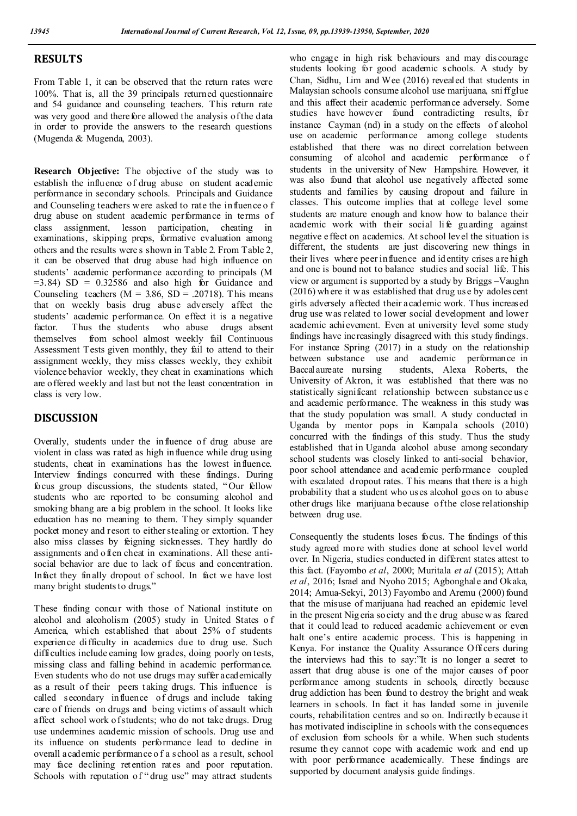## **RESULTS**

From Table 1, it can be observed that the return rates were 100%. That is, all the 39 principals returned questionnaire and 54 guidance and counseling teachers. This return rate was very good and there fore allowed the analysis of the data in order to provide the answers to the research questions (Mugenda & Mugenda, 2003).

**Research Objective:** The objective of the study was to establish the influence of drug abuse on student academic performance in secondary schools. Principals and Guidance and Counseling teachers were asked to rate the influence o f drug abuse on student academic performance in terms of class assignment, lesson participation, cheating in examinations, skipping preps, formative evaluation among others and the results were s shown in Table 2. From Table 2, it can be observed that drug abuse had high influence on students' academic performance according to principals (M  $=3.84$ ) SD = 0.32586 and also high for Guidance and Counseling teachers ( $M = 3.86$ , SD = .20718). This means that on weekly basis drug abuse adversely affect the students' academic performance. On effect it is a negative factor. Thus the students who abuse drugs absent factor. Thus the students who abuse drugs absent themselves from school almost weekly fail Continuous Assessment Tests given monthly, they fail to attend to their assignment weekly, they miss classes weekly, they exhibit violence behavior weekly, they cheat in examinations which are offered weekly and last but not the least concentration in class is very low.

## **DISCUSSION**

Overally, students under the influence of drug abuse are violent in class was rated as high influence while drug using students, cheat in examinations has the lowest influence. Interview findings concurred with these findings. During focus group discussions, the students stated, " Our fellow students who are reported to be consuming alcohol and smoking bhang are a big problem in the school. It looks like education has no meaning to them. They simply squander pocket money and resort to either stealing or extortion. T hey also miss classes by feigning sicknesses. They hardly do assignments and often cheat in examinations. All these antisocial behavior are due to lack of focus and concentration. Infact they finally dropout of school. In fact we have lost many bright students to drugs."

These finding concur with those of National institute on alcohol and alcoholism (2005) study in United States o f America, which established that about 25% of students experience difficulty in academics due to drug use. Such difficulties include earning low grades, doing poorly on tests, missing class and falling behind in academic performance. Even students who do not use drugs may suffer academically as a result of their peers taking drugs. This influence is called secondary influence of drugs and include taking care of friends on drugs and being victims of assault which affect school work of students; who do not take drugs. Drug use undermines academic mission of schools. Drug use and its influence on students performance lead to decline in overall academic performance o f a s chool as a result, school may face declining retention rates and poor reputation. Schools with reputation of "drug use" may attract students

who engage in high risk behaviours and may dis courage students looking for good academic schools. A study by Chan, Sidhu, Lim and Wee (2016) revealed that students in Malaysian schools consume alcohol use marijuana, sni ff glue and this affect their academic performance adversely. Some studies have however found contradicting results, for instance Cayman (nd) in a study on the effects of alcohol use on academic performance among college students established that there was no direct correlation between<br>consuming of alcohol and academic performance of of alcohol and academic performance of students in the university of New Hampshire. However, it was also found that alcohol use negatively affected some students and families by causing dropout and failure in classes. This outcome implies that at college level some students are mature enough and know how to balance their academic work with their social li fe guarding against negative effect on academics. At school level the situation is different, the students are just discovering new things in their lives where peer influence and id entity crises are high and one is bound not to balance studies and social life. This view or argument is supported by a study by Briggs –Vaughn (2016) wh ere it w as established that drug us e by adolescent girls adversely affected their academic work. Thus increased drug use was related to lower social development and lower academic achievement. Even at university level some study findings have increasingly disagreed with this study findings. For instance Spring (2017) in a study on the relationship between substance use and academic performance in Baccalaureate nursing students, Alexa Roberts, the University of Akron, it was established that there was no statistically significant relationship between substance us e and academic performance. The weakness in this study was that the study population was small. A study conducted in Uganda by mentor pops in Kampala schools (2010) concurred with the findings of this study. Thus the study established that in Uganda alcohol abuse among secondary school students was closely linked to anti-social behavior, poor school attendance and academic performance coupled with escalated dropout rates. T his means that there is a high probability that a student who us es alcohol goes on to abuse other drugs like marijuana because of the close relationship between drug use.

Consequently the students loses focus. The findings of this study agreed more with studies done at school level world over. In Nigeria, studies conducted in different states attest to this fact. (Fayombo *et al*, 2000; Muritala *et al* (2015); Attah *et al*, 2016; Israel and Nyoho 2015; Agbonghale and Okaka, 2014; Amua-Sekyi, 2013) Fayombo and Aremu (2000) found that the misuse of marijuana had reached an epidemic level in the present Nig eria so ciety and th e drug abuse w as feared that it could lead to reduced academic achievement or even halt one's entire academic process. This is happening in Kenya. For instance the Quality Assurance Officers during the interviews had this to say:"It is no longer a secret to assert that drug abuse is one of the major causes of poor performance among students in schools, directly because drug addiction has been found to destroy the bright and weak learners in schools. In fact it has landed some in juvenile courts, rehabilitation centres and so on. Indirectly b ecause it has motivated indiscipline in schools with the consequences of exclusion from schools for a while. When such students resume they cannot cope with academic work and end up with poor performance academically. These findings are supported by document analysis guide findings.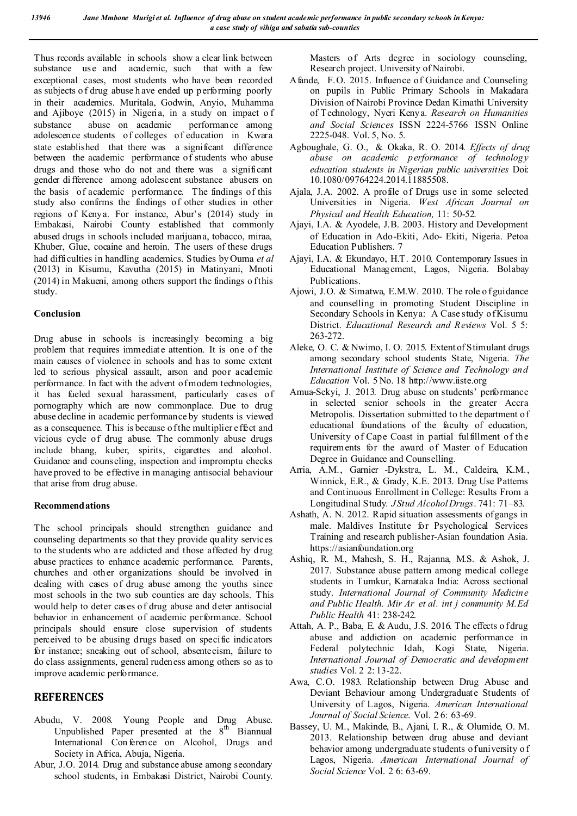Thus records available in schools show a clear link between substance use and academic, such that with a few exceptional cases, most students who have been recorded as subjects o f drug abuse h ave ended up performing poorly in their academics. Muritala, Godwin, Anyio, Muhamma and Ajiboye (2015) in Nigeria, in a study on impact o f substance abuse on academic performance among adolescence students of colleges of education in Kwara state established that there was a significant difference between the academic performance of students who abuse drugs and those who do not and there was a significant gender difference among adolescent substance abusers on the basis of academic performance. The findings of this study also confirms the findings of other studies in other regions of Kenya. For instance, Abur's (2014) study in Embakasi, Nairobi County established that commonly abused drugs in schools included marijuana, tobacco, miraa, Khuber, Glue, cocaine and heroin. The users of these drugs had difficulties in handling academics. Studies by Ouma *et al* (2013) in Kisumu, Kavutha (2015) in Matinyani, Mnoti  $(2014)$  in Makueni, among others support the findings of this study.

## **Conclusion**

Drug abuse in schools is increasingly becoming a big problem that requires immediate attention. It is one of the main causes of violence in schools and has to some extent led to serious physical assault, arson and poor academic performance. In fact with the advent of modern technologies, it has fueled sexual harassment, particularly cases of pornography which are now commonplace. Due to drug abuse decline in academic performance by students is viewed as a consequence. This is because of the multiplier effect and vicious cycle of drug abuse. The commonly abuse drugs include bhang, kuber, spirits, cigarettes and alcohol. Guidance and counseling, inspection and impromptu checks have proved to be effective in managing antisocial behaviour that arise from drug abuse.

#### **Recommendations**

The school principals should strengthen guidance and counseling departments so that they provide qu ality services to the students who are addicted and those affected by drug abuse practices to enhance academic performance. Parents, churches and other organizations should be involved in dealing with cases of drug abuse among the youths since most schools in the two sub counties are day schools. This would help to deter cases of drug abuse and deter antisocial behavior in enhancement of academic performance. School principals should ensure close supervision of students perceived to be abusing drugs based on specific indicators for instance; sneaking out of school, absenteeism, failure to do class assignments, general rudeness among others so as to improve academic performance.

## **REFERENCES**

- Abudu, V. 2008. Young People and Drug Abuse. Unpublished Paper presented at the  $8<sup>th</sup>$  Biannual International Con ference on Alcohol, Drugs and Society in Africa, Abuja, Nigeria.
- Abur, J.O. 2014. Drug and substance abuse among secondary school students, in Embakasi District, Nairobi County.

Masters of Arts degree in sociology counseling, Research project. University of Nairobi.

- Afande, F.O. 2015. Influence of Guidance and Counseling on pupils in Public Primary Schools in Makadara Division of Nairobi Province Dedan Kimathi University of Technology, Nyeri Kenya. *Research on Humanities and Social Sciences* ISSN 2224-5766 ISSN Online 2225-048. Vol. 5, No. 5.
- Agboughale, G. O., & Okaka, R. O. 2014. *Effects of drug abuse on academic performance of technology education students in Nigerian public universities* Doi: 10.1080/09764224.2014.11885508.
- Ajala, J.A. 2002. A profile of Drugs use in some selected Universities in Nigeria. *West African Journal on Physical and Health Education,* 11: 50-52.
- Ajayi, I.A. & Ayodele, J.B. 2003. History and Development of Education in Ado-Ekiti, Ado- Ekiti, Nigeria. Petoa Education Publishers. 7
- Ajayi, I.A. & Ekundayo, H.T. 2010. Contemporary Issues in Educational Management, Lagos, Nigeria. Bolabay Publications.
- Ajowi, J.O. & Simatwa, E.M.W. 2010. The role o f guidance and counselling in promoting Student Discipline in Secondary Schools in Kenya: A Case study of Kisumu District. *Educational Research and Reviews* Vol. 5 5: 263-272.
- Aleke, O. C. & Nwimo, I. O. 2015. Extent of Stimulant drugs among secondary school students State, Nigeria. *The International Institute of Science and Technology and Education* Vol. 5 No. 18 http://www.iiste.org
- Amua-Sekyi, J. 2013. Drug abuse on students' performance in selected senior schools in the greater Accra Metropolis. Dissertation submitted to the department o f educational foundations of the faculty of education, University of Cape Coast in partial fulfillment of the requirements for the award of Master of Education Degree in Guidance and Counselling.
- Arria, A.M., Garnier -Dykstra, L. M., Caldeira, K.M., Winnick, E.R., & Grady, K.E. 2013. Drug Use Patterns and Continuous Enrollment in College: Results From a Longitudinal Study. *J Stud Alcohol Drugs*. 741: 71–83.
- Ashath, A. N. 2012. Rapid situation assessments of gangs in male. Maldives Institute for Psychological Services Training and research publisher-Asian foundation Asia. https://asianfoundation.org
- Ashiq, R. M., Mahesh, S. H., Rajanna, M.S. & Ashok, J. 2017. Substance abuse pattern among medical college students in Tumkur, Karnataka India: Across sectional study. *International Journal of Community Medicine and Public Health. Mir Ar et al. int j community M.Ed Public Health* 41: 238-242.
- Attah, A. P., Baba, E. & Audu, J.S. 2016. The effects o f drug abuse and addiction on academic performance in Federal polytechnic Idah, Kogi State, Nigeria. *International Journal of Democratic and development studies* Vol. 2 2: 13-22.
- Awa, C.O. 1983. Relationship between Drug Abuse and Deviant Behaviour among Undergraduate Students of University of Lagos, Nigeria. *American International Journal of Social Science*. Vol. 2 6: 63-69.
- Bassey, U. M., Makinde, B., Ajani, I. R., & Olumide, O. M. 2013. Relationship between drug abuse and deviant behavior among undergraduate students of university o f Lagos, Nigeria. *American International Journal of Social Science* Vol. 2 6: 63-69.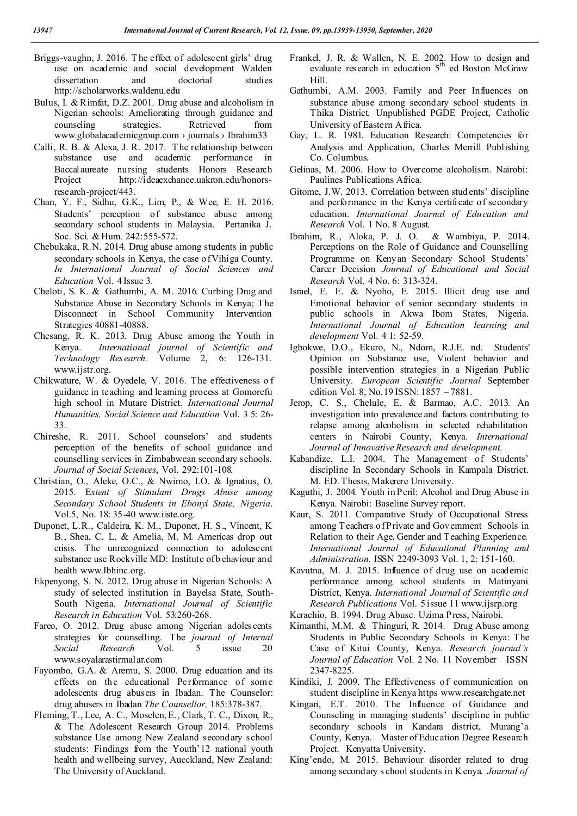- Briggs-vaughn, J. 2016. T he effect of adolescent girls' drug use on academic and social development Walden dissertation and doctorial studies http://scholarworks.waldenu.edu
- Bulus, I. & Rimfat, D.Z. 2001. Drug abuse and alcoholism in Nigerian schools: Ameliorating through guidance and counseling strategies. Retrieved from www.globalacademicgroup.com › journals › Ibrahim33
- Calli, R. B. & Alexa, J. R. 2017. T he relationship between substance use and academic performance in Baccalaureate nursing students Honors Research Project http://ideaexchance.uakron.edu/honorsresearch-project/443.
- Chan, Y. F., Sidhu, G.K., Lim, P., & Wee, E. H. 2016. Students' perception of substance abuse among secondary school students in Malaysia. Pertanika J. Soc. Sci. & Hum. 242:555-572.
- Chebukaka, R.N. 2014. Drug abuse among students in public secondary schools in Kenya, the case of Vihiga County. *In International Journal of Social Sciences and Education* Vol. 4 Issue 3.
- Cheloti, S. K. & Gathumbi, A. M. 2016. Curbing Drug and Substance Abuse in Secondary Schools in Kenya; The Disconnect in School Community Intervention Strategies 40881-40888.
- Chesang, R. K. 2013. Drug Abuse among the Youth in Kenya. *International journal of Scientific and Technology Research.* Volume 2, 6: 126-131. www.ijstr.org.
- Chikwature, W. & Oyedele, V. 2016. The effectiveness o f guidance in teaching and learning process at Gomorefu high school in Mutare District. *International Journal Humanities, Social Science and Education* Vol. 3 5: 26- 33.
- Chireshe, R. 2011. School counselors' and students perception of the benefits of school guidance and counselling services in Zimbabwean secondary schools. *Journal of Social Sciences*, Vol. 292:101-108.
- Christian, O., Aleke, O.C., & Nwimo, I.O. & Ignatius, O. 2015. E*xtent of Stimulant Drugs Abuse among Secondary School Students in Ebonyi State, Nigeria*. Vol.5, No. 18: 35-40 www.iiste.org.
- Duponet, L.R., Caldeira, K. M., Duponet, H. S., Vincent, K B., Shea, C. L. & Amelia, M. M. Americas drop out crisis. The unrecognized connection to adolescent substance use Rockville MD: Institute of b ehaviour and health www.Ibhinc.org.
- Ekpenyong, S. N. 2012. Drug abuse in Nigerian Schools: A study of selected institution in Bayelsa State, South-South Nigeria. *International Journal of Scientific Research in Education* Vol. 53:260-268.
- Fareo, O. 2012. Drug abuse among Nigerian adolescents strategies for counselling. The *journal of Internal Social Research* Vol. 5 issue 20 www.soyalarastirmalar.com
- Fayombo, G.A. & Aremu, S. 2000. Drug education and its effects on the educational Performance of som e adolescents drug abusers in Ibadan. The Counselor: drug abusers in Ibadan *The Counsellor,* 185:378-387.
- Fleming, T., Lee, A. C., Moselen, E., Clark, T. C., Dixon, R., & The Adolescent Research Group 2014. Problems substance Use among New Zealand secondary school students: Findings from the Youth'12 national youth health and wellbeing survey, Aucckland, New Zealand: The University of Auckland.
- Frankel, J. R. & Wallen, N. E. 2002. How to design and evaluate research in education  $5<sup>th</sup>$  ed Boston McGraw Hill.
- Gathumbi, A.M. 2003. Family and Peer Influences on substance abuse among secondary school students in Thika District. Unpublished PGDE Project, Catholic University of Eastern Africa.
- Gay, L. R. 1981. Education Research: Competencies for Analysis and Application, Charles Merrill Publishing Co. Columbus.
- Gelinas, M. 2006. How to Overcome alcoholism. Nairobi: Paulines Publications Africa.
- Gitome, J.W. 2013. Correlation between stud ents' discipline and performance in the Kenya certificate of secondary education. *International Journal of Education and Research* Vol. 1 No. 8 August.
- Ibrahim, R., Aloka, P. J. O. & Wambiya, P. 2014. Perceptions on the Role of Guidance and Counselling Programme on Kenyan Secondary School Students' Career Decision *Journal of Educational and Social Research* Vol. 4 No. 6: 313-324.
- Israel, E. E. & Nyoho, E. 2015. Illicit drug use and Emotional behavior of senior secondary students in public schools in Akwa Ibom States, Nigeria. *International Journal of Education learning and development* Vol. 4 1: 52-59.
- Igbokwe, D.O., Ekuro, N., Ndom, R.J.E. nd. Students' Opinion on Substance use, Violent behavior and possible intervention strategies in a Nigerian Public University. *European Scientific Journal* September edition Vol. 8, No.19 ISSN: 1857 – 7881.
- Jerop, C. S., Chelule, E. & Barmao, A.C. 2013. An investigation into prevalence and factors contributing to relapse among alcoholism in selected rehabilitation centers in Nairobi County, Kenya. *International Journal of Innovative Research and development.*
- Kabandize, L.I. 2004. The Management of Students' discipline In Secondary Schools in Kampala District. M. ED. Thesis, Makerere University.
- Kaguthi, J. 2004. Youth in Peril: Alcohol and Drug Abuse in Kenya. Nairobi: Baseline Survey report.
- Kaur, S. 2011. Comparative Study of Occupational Stress among Teachers o fPrivate and Government Schools in Relation to their Age, Gender and Teaching Experience. *International Journal of Educational Planning and Administration.* ISSN 2249-3093 Vol. 1, 2: 151-160.
- Kavutna, M. J. 2015. Influence of drug use on academic performance among school students in Matinyani District, Kenya. *International Journal of Scientific and Research Publications* Vol. 5 issue 11 www.ijsrp.org

Kerachio, B. 1994. Drug Abuse. Uzima Press, Nairobi.

- Kimanthi, M.M. & Thinguri, R. 2014. Drug Abuse among Students in Public Secondary Schools in Kenya: The Case of Kitui County, Kenya. *Research journal's Journal of Education* Vol. 2 No. 11 November ISSN 2347-8225.
- Kindiki, J. 2009. The Effectiveness of communication on student discipline in Kenya https www.researchgate.net
- Kingari, E.T. 2010. The Influence of Guidance and Counseling in managing students' discipline in public secondary schools in Kandara district, Murang'a County, Kenya. Master of Education Degree Research Project. Kenyatta University.
- King'endo, M. 2015. Behaviour disorder related to drug among secondary s chool students in K enya. *Journal of*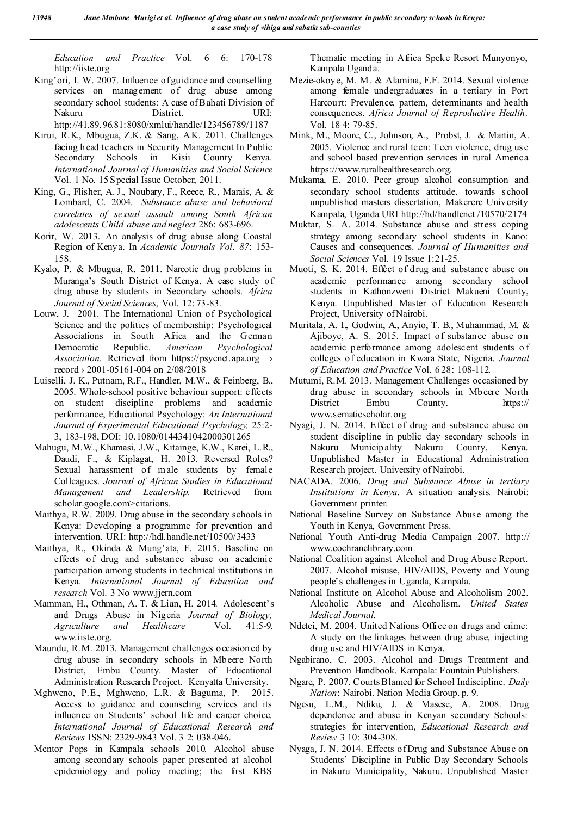*Education and Practice* Vol. 6 6: 170-178 http://iiste.org

King'ori, I. W. 2007. Influence of guidance and counselling services on management of drug abuse among secondary school students: A case of Bahati Division of Nakuru District. URI:

http://41.89.96.81:8080/xmlui/handle/123456789/1187

- Kirui, R.K., Mbugua, Z.K. & Sang, A.K. 2011. Challenges facing h ead teachers in Security Management In Public Secondary Schools in Kisii County Kenya. *International Journal of Humanities and Social Science*  Vol. 1 No. 15 Special Issue October, 2011.
- King, G., Flisher, A. J., Noubary, F., Reece, R., Marais, A. & Lombard, C. 2004. *Substance abuse and behavioral correlates of sexual assault among South African adolescents Child abuse and neglect* 286: 683-696.
- Korir, W. 2013. An analysis of drug abuse along Coastal Region of Kenya. In *Academic Journals Vol*. *87*: 153- 158.
- Kyalo, P. & Mbugua, R. 2011. Narcotic drug problems in Muranga's South District of Kenya. A case study of drug abuse by students in Secondary schools. *Africa Journal of Social Sciences*, Vol. 12: 73-83.
- Louw, J. 2001. The International Union of Psychological Science and the politics of membership: Psychological Associations in South Africa and the German Democratic Republic. *American Psychological Association.* Retrieved from https://psycnet.apa.org > record › 2001-05161-004 on 2/08/2018
- Luiselli, J. K., Putnam, R.F., Handler, M.W., & Feinberg, B., 2005. Whole‐school positive behaviour support: effects on student discipline problems and academic performance, Educational Psychology: *An International Journal of Experimental Educational Psychology,* 25:2- 3, 183-198, DOI: 10.1080/0144341042000301265
- Mahugu, M.W., Khamasi, J.W., Kitainge, K.W., Karei, L.R., Daudi, F., & Kiplagat, H. 2013. Reversed Roles? Sexual harassment of male students by female Colleagues. *Journal of African Studies in Educational Management and Leadership.* Retrieved from scholar.google.com>citations.
- Maithya, R.W. 2009. Drug abuse in the secondary schools in Kenya: Developing a programme for prevention and intervention. URI: http://hdl.handle.net/10500/3433
- Maithya, R., Okinda & Mung'ata, F. 2015. Baseline on effects of drug and substance abuse on academic participation among students in technical institutions in Kenya. *International Journal of Education and research* Vol. 3 No www.jjern.com
- Mamman, H., Othman, A. T. & Lian, H. 2014. Adolescent's and Drugs Abuse in Nigeria *Journal of Biology, Agriculture and Healthcare* Vol. 41:5-9. www.iiste.org.
- Maundu, R.M. 2013. Management challenges occasion ed by drug abuse in secondary schools in Mbeere North District, Embu County. Master of Educational Administration Research Project. Kenyatta University.
- Mghweno, P.E., Mghweno, L.R. & Baguma, P. 2015. Access to guidance and counseling services and its influence on Students' school life and career choice. *International Journal of Educational Research and Reviews* ISSN: 2329-9843 Vol. 3 2: 038-046.
- Mentor Pops in Kampala schools 2010. Alcohol abuse among secondary schools paper presented at alcohol epidemiology and policy meeting; the first KBS

Thematic meeting in Africa Speke Resort Munyonyo, Kampala Uganda.

- Mezie-okoye, M. M. & Alamina, F.F. 2014. Sexual violence among female undergraduates in a tertiary in Port Harcourt: Prevalence, pattern, determinants and health consequences. *Africa Journal of Reproductive Health*. Vol. 18 4: 79-85.
- Mink, M., Moore, C., Johnson, A., Probst, J. & Martin, A. 2005. Violence and rural teen: Teen violence, drug us e and school based prevention services in rural America https://www.ruralhealthresearch.org.
- Mukama, E. 2010. Peer group alcohol consumption and secondary school students attitude. towards school unpublished masters dissertation, Makerere University Kampala, Uganda URI http://hd/handlenet /10570/2174
- Muktar, S. A. 2014. Substance abuse and stress coping strategy among secondary school students in Kano: Causes and consequences. *Journal of Humanities and Social Sciences* Vol. 19 Issue 1:21-25.
- Muoti, S. K. 2014. Effect of drug and substance abuse on academic performance among secondary school students in Kathonzweni District Makueni County, Kenya. Unpublished Master of Education Research Project, University of Nairobi.
- Muritala, A. I., Godwin, A., Anyio, T. B., Muhammad, M. & Ajiboye, A. S. 2015. Impact of substance abuse on academic performance among adolescent students o f colleges of education in Kwara State, Nigeria. *Journal of Education and Practice* Vol. 6 28: 108-112.
- Mutumi, R.M. 2013. Management Challenges occasioned by drug abuse in secondary schools in Mbeere North District Embu County. https:// www.sematicscholar.org
- Nyagi, J. N. 2014. Effect of drug and substance abuse on student discipline in public day secondary schools in Nakuru Municipality Nakuru County, Kenya. Unpublished Master in Educational Administration Research project. University of Nairobi.
- NACADA. 2006. *Drug and Substance Abuse in tertiary Institutions in Kenya*. A situation analysis. Nairobi: Government printer.
- National Baseline Survey on Substance Abuse among the Youth in Kenya, Government Press.
- National Youth Anti-drug Media Campaign 2007. http:// www.cochranelibrary.com
- National Coalition against Alcohol and Drug Abuse Report. 2007. Alcohol misuse, HIV/AIDS, Poverty and Young people's challenges in Uganda, Kampala.
- National Institute on Alcohol Abuse and Alcoholism 2002. Alcoholic Abuse and Alcoholism. *United States Medical Journal.*
- Ndetei, M. 2004. United Nations Office on drugs and crime: A study on the linkages between drug abuse, injecting drug use and HIV/AIDS in Kenya.
- Ngabirano, C. 2003. Alcohol and Drugs Treatment and Prevention Handbook. Kampala: Fountain Publishers.
- Ngare, P. 2007. Courts Blamed for School Indiscipline. *Daily Nation*: Nairobi. Nation Media Group. p. 9.
- Ngesu, L.M., Ndiku, J. & Masese, A. 2008. Drug dependence and abuse in Kenyan secondary Schools: strategies for intervention, *Educational Research and Review* 3 10: 304-308.
- Nyaga, J. N. 2014. Effects of Drug and Substance Abus e on Students' Discipline in Public Day Secondary Schools in Nakuru Municipality, Nakuru. Unpublished Master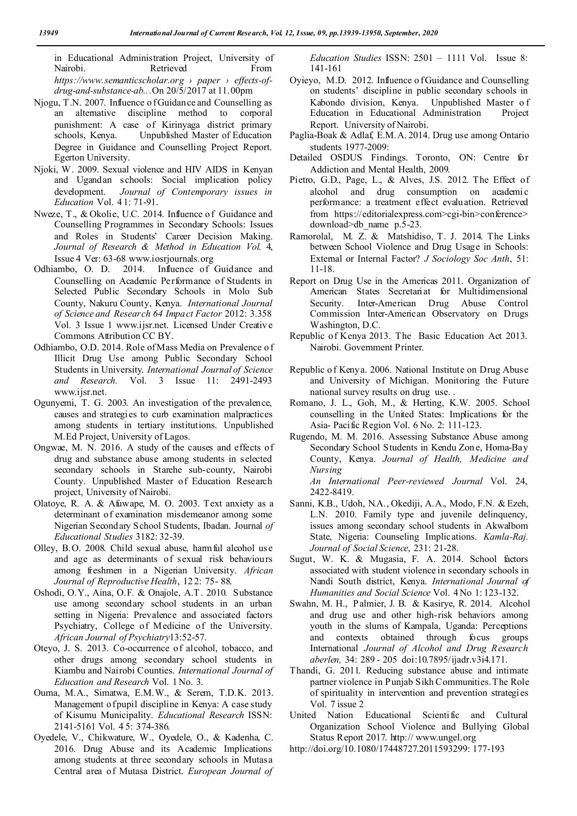in Educational Administration Project, University of Nairobi. Retrieved *https://www.semanticscholar.org › paper › effects-ofdrug-and-substance-ab...*On 20/5/2017 at 11.00pm

- Njogu, T.N. 2007. Influence o f Guidance and Counselling as an alternative discipline method to corporal punishment: A case of Kirinyaga district primary schools, Kenya. Unpublished Master of Education Degree in Guidance and Counselling Project Report. Egerton University.
- Njoki, W. 2009. Sexual violence and HIV AIDS in Kenyan and Ugandan schools: Social implication policy development. *Journal of Contemporary issues in Education* Vol. 4 1: 71-91.
- Nweze, T., & Okolie, U.C. 2014. Influence of Guidance and Counselling Programmes in Secondary Schools: Issues and Roles in Students' Career Decision Making. *Journal of Research & Method in Education Vol*. 4, Issue 4 Ver: 63-68 www.iosrjournals.org
- Odhiambo, O. D. 2014. Influence of Guidance and Counselling on Academic Performance of Students in Selected Public Secondary Schools in Molo Sub County, Nakuru County, Kenya. *International Journal of Science and Research 64 Impact Factor* 2012: 3.358 Vol. 3 Issue 1 www.ijsr.net. Licensed Under Creativ e Commons Attribution CC BY.
- Odhiambo, O.D. 2014. Role of Mass Media on Prevalence o f Illicit Drug Use among Public Secondary School Students in University. *International Journal of Science and Research.* Vol. 3 Issue 11: 2491-2493 www.ijsr.net.
- Ogunyemi, T. G. 2003. An investigation of the prevalence, causes and strategies to curb examination malpractices among students in tertiary institutions. Unpublished M.Ed Project, University of Lagos.
- Ongwae, M. N. 2016. A study of the causes and effects of drug and substance abuse among students in selected secondary schools in Starehe sub-county, Nairobi County. Unpublished Master of Education Research project, University of Nairobi.
- Olatoye, R. A. & Afuwape, M. O. 2003. Text anxiety as a determinant of examination misdemeanor among some Nigerian Secondary School Students, Ibadan. Journal *of Educational Studies* 3182: 32-39.
- Olley, B.O. 2008. Child sexual abuse, harmful alcohol use and age as determinants of sexual risk behaviours among freshmen in a Nigerian University. *African Journal of Reproductive Health*, 12 2: 75- 88.
- Oshodi, O.Y., Aina, O.F. & Onajole, A.T. 2010. Substance use among secondary school students in an urban setting in Nigeria: Prevalence and associated factors Psychiatry, College of Medicine of the University. *African Journal of Psychiatry*13:52-57.
- Oteyo, J. S. 2013. Co-occurrence of alcohol, tobacco, and other drugs among secondary school students in Kiambu and Nairobi Counties. *International Journal of Education and Research* Vol. 1 No. 3.
- Ouma, M.A., Simatwa, E.M.W., & Serem, T.D.K. 2013. Management of pupil discipline in Kenya: A case study of Kisumu Municipality. *Educational Research* ISSN: 2141-5161 Vol. 4 5: 374-386.
- Oyedele, V., Chikwature, W., Oyedele, O., & Kadenha, C. 2016. Drug Abuse and its Academic Implications among students at three secondary schools in Mutasa Central area of Mutasa District. *European Journal of*

*Education Studies* ISSN: 2501 – 1111 Vol. Issue 8: 141-161

- Oyieyo, M.D. 2012. Influence o f Guidance and Counselling on students' discipline in public secondary schools in Kabondo division, Kenya. Unpublished Master o f Education in Educational Administration Project Report. University of Nairobi.
- Paglia-Boak & Adlaf, E.M.A. 2014. Drug use among Ontario students 1977-2009:
- Detailed OSDUS Findings. Toronto, ON: Centre for Addiction and Mental Health, 2009.
- Pietro, G.D., Page, L., & Alves, J.S. 2012. The Effect of alcohol and drug consumption on academi c performance: a treatment effect evaluation. Retrieved from https://editorialexpress.com>cgi-bin>conference> download>db\_name p.5-23.
- Ramorolal, M. Z. & Matshidiso, T. J. 2014. The Links between School Violence and Drug Usage in Schools: External or Internal Factor? *J Sociology Soc Anth*, 51: 11-18.
- Report on Drug Use in the Americas 2011. Organization of American States Secretariat for Multidimensional Security. Inter-American Drug Abuse Control Commission Inter-American Observatory on Drugs Washington, D.C.
- Republic of Kenya 2013. The Basic Education Act 2013. Nairobi. Government Printer.
- Republic o f Kenya. 2006. National Institute on Drug Abuse and University of Michigan. Monitoring the Future national survey results on drug use. .
- Romano, J. L., Goh, M., & Herting, K.W. 2005. School counselling in the United States: Implications for the Asia- Pacific Region Vol. 6 No. 2: 111-123.
- Rugendo, M. M. 2016. Assessing Substance Abuse among Secondary School Students in Kendu Zon e, Homa-Bay County, Kenya. *Journal of Health, Medicine and Nursing*

*An International Peer-reviewed Journal* Vol. 24, 2422-8419.

- Sanni, K.B., Udoh, N.A., Okediji, A.A., Modo, F.N. & Ezeh, L.N. 2010. Family type and juvenile delinquency, issues among secondary school students in AkwaIbom State, Nigeria: Counseling Implications. *Kamla-Raj. Journal of Social Science*, 231: 21-28.
- Sugut, W. K. & Mugasia, F. A. 2014. School factors associated with student violence in secondary schools in Nandi South district, Kenya. *International Journal of Humanities and Social Science* Vol. 4 No 1: 123-132.
- Swahn, M. H., Palmier, J. B. & Kasirye, R. 2014. Alcohol and drug use and other high-risk behaviors among youth in the slums of Kampala, Uganda: Perceptions and contexts obtained through focus groups International *Journal of Alcohol and Drug Research aberlen,* 34: 289 - 205 doi:10.7895/ijadr.v3i4.171.
- Thandi, G. 2011. Reducing substance abuse and intimate partner violence in Punjab Sikh Communities. The Role of spirituality in intervention and prevention strategies Vol. 7 issue 2
- United Nation Educational Scientific and Cultural Organization School Violence and Bullying Global Status Report 2017. http:// www.ungel.org
- http://doi.org/10.1080/17448727.2011593299: 177-193